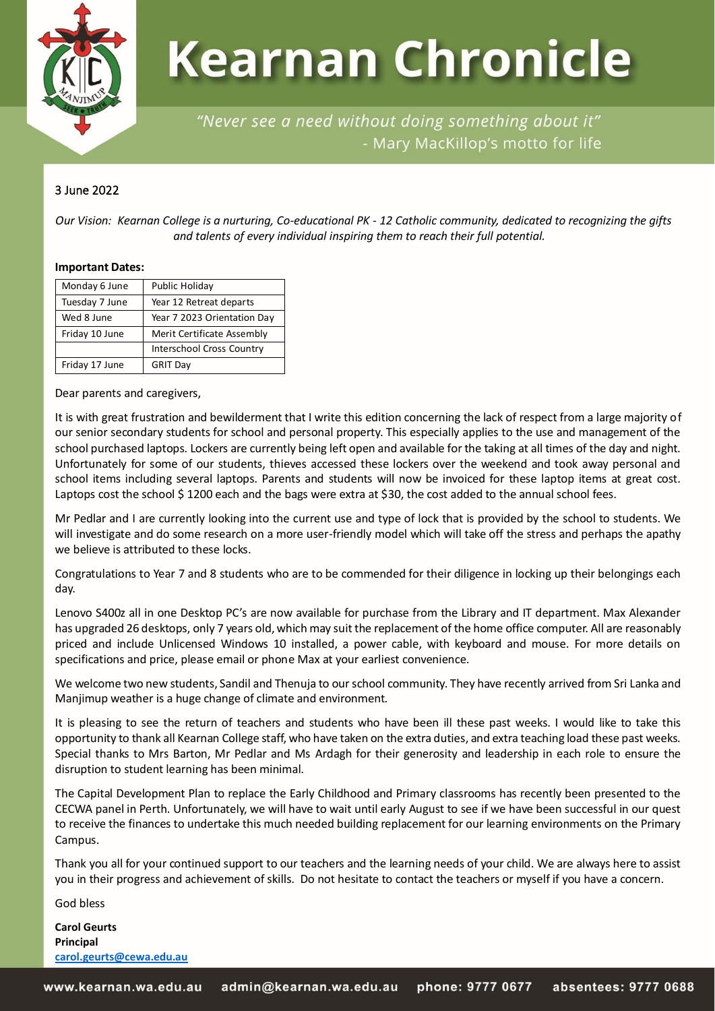

# **Kearnan Chronicle**

"Never see a need without doing something about it" - Mary MacKillop's motto for life

#### 3 June 2022

*Our Vision: Kearnan College is a nurturing, Co-educational PK - 12 Catholic community, dedicated to recognizing the gifts and talents of every individual inspiring them to reach their full potential.*

#### **Important Dates:**

| Monday 6 June  | Public Holiday                   |  |  |
|----------------|----------------------------------|--|--|
| Tuesday 7 June | Year 12 Retreat departs          |  |  |
| Wed 8 June     | Year 7 2023 Orientation Day      |  |  |
| Friday 10 June | Merit Certificate Assembly       |  |  |
|                | <b>Interschool Cross Country</b> |  |  |
| Friday 17 June | <b>GRIT Day</b>                  |  |  |

Dear parents and caregivers,

It is with great frustration and bewilderment that I write this edition concerning the lack of respect from a large majority of our senior secondary students for school and personal property. This especially applies to the use and management of the school purchased laptops. Lockers are currently being left open and available for the taking at all times of the day and night. Unfortunately for some of our students, thieves accessed these lockers over the weekend and took away personal and school items including several laptops. Parents and students will now be invoiced for these laptop items at great cost. Laptops cost the school \$1200 each and the bags were extra at \$30, the cost added to the annual school fees.

Mr Pedlar and I are currently looking into the current use and type of lock that is provided by the school to students. We will investigate and do some research on a more user-friendly model which will take off the stress and perhaps the apathy we believe is attributed to these locks.

Congratulations to Year 7 and 8 students who are to be commended for their diligence in locking up their belongings each day.

Lenovo S400z all in one Desktop PC's are now available for purchase from the Library and IT department. Max Alexander has upgraded 26 desktops, only 7 years old, which may suit the replacement of the home office computer. All are reasonably priced and include Unlicensed Windows 10 installed, a power cable, with keyboard and mouse. For more details on specifications and price, please email or phone Max at your earliest convenience.

We welcome two new students, Sandil and Thenuja to our school community. They have recently arrived from Sri Lanka and Manjimup weather is a huge change of climate and environment.

It is pleasing to see the return of teachers and students who have been ill these past weeks. I would like to take this opportunity to thank all Kearnan College staff, who have taken on the extra duties, and extra teaching load these past weeks. Special thanks to Mrs Barton, Mr Pedlar and Ms Ardagh for their generosity and leadership in each role to ensure the disruption to student learning has been minimal.

The Capital Development Plan to replace the Early Childhood and Primary classrooms has recently been presented to the CECWA panel in Perth. Unfortunately, we will have to wait until early August to see if we have been successful in our quest to receive the finances to undertake this much needed building replacement for our learning environments on the Primary Campus.

Thank you all for your continued support to our teachers and the learning needs of your child. We are always here to assist you in their progress and achievement of skills. Do not hesitate to contact the teachers or myself if you have a concern.

God bless

**Carol Geurts Principal [carol.geurts@cewa.edu.au](mailto:carol.geurts@cewa.edu.au)**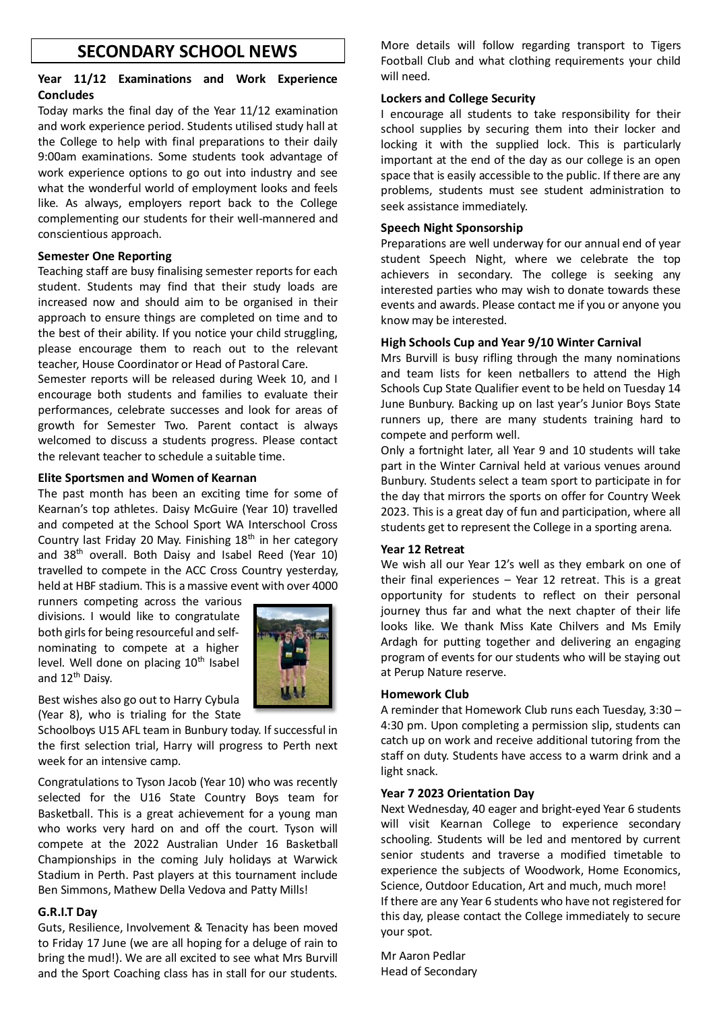## **SECONDARY SCHOOL NEWS**

#### **Year 11/12 Examinations and Work Experience Concludes**

Today marks the final day of the Year 11/12 examination and work experience period. Students utilised study hall at the College to help with final preparations to their daily 9:00am examinations. Some students took advantage of work experience options to go out into industry and see what the wonderful world of employment looks and feels like. As always, employers report back to the College complementing our students for their well-mannered and conscientious approach.

#### **Semester One Reporting**

Teaching staff are busy finalising semester reports for each student. Students may find that their study loads are increased now and should aim to be organised in their approach to ensure things are completed on time and to the best of their ability. If you notice your child struggling, please encourage them to reach out to the relevant teacher, House Coordinator or Head of Pastoral Care.

Semester reports will be released during Week 10, and I encourage both students and families to evaluate their performances, celebrate successes and look for areas of growth for Semester Two. Parent contact is always welcomed to discuss a students progress. Please contact the relevant teacher to schedule a suitable time.

#### **Elite Sportsmen and Women of Kearnan**

The past month has been an exciting time for some of Kearnan's top athletes. Daisy McGuire (Year 10) travelled and competed at the School Sport WA Interschool Cross Country last Friday 20 May. Finishing  $18<sup>th</sup>$  in her category and 38<sup>th</sup> overall. Both Daisy and Isabel Reed (Year 10) travelled to compete in the ACC Cross Country yesterday, held at HBF stadium. This is a massive event with over 4000

runners competing across the various divisions. I would like to congratulate both girls for being resourceful and selfnominating to compete at a higher level. Well done on placing 10<sup>th</sup> Isabel and 12<sup>th</sup> Daisy.



Best wishes also go out to Harry Cybula (Year 8), who is trialing for the State

Schoolboys U15 AFL team in Bunbury today. If successful in the first selection trial, Harry will progress to Perth next week for an intensive camp.

Congratulations to Tyson Jacob (Year 10) who was recently selected for the U16 State Country Boys team for Basketball. This is a great achievement for a young man who works very hard on and off the court. Tyson will compete at the 2022 Australian Under 16 Basketball Championships in the coming July holidays at Warwick Stadium in Perth. Past players at this tournament include Ben Simmons, Mathew Della Vedova and Patty Mills!

#### **G.R.I.T Day**

Guts, Resilience, Involvement & Tenacity has been moved to Friday 17 June (we are all hoping for a deluge of rain to bring the mud!). We are all excited to see what Mrs Burvill and the Sport Coaching class has in stall for our students.

More details will follow regarding transport to Tigers Football Club and what clothing requirements your child will need.

#### **Lockers and College Security**

I encourage all students to take responsibility for their school supplies by securing them into their locker and locking it with the supplied lock. This is particularly important at the end of the day as our college is an open space that is easily accessible to the public. If there are any problems, students must see student administration to seek assistance immediately.

#### **Speech Night Sponsorship**

Preparations are well underway for our annual end of year student Speech Night, where we celebrate the top achievers in secondary. The college is seeking any interested parties who may wish to donate towards these events and awards. Please contact me if you or anyone you know may be interested.

#### **High Schools Cup and Year 9/10 Winter Carnival**

Mrs Burvill is busy rifling through the many nominations and team lists for keen netballers to attend the High Schools Cup State Qualifier event to be held on Tuesday 14 June Bunbury. Backing up on last year's Junior Boys State runners up, there are many students training hard to compete and perform well.

Only a fortnight later, all Year 9 and 10 students will take part in the Winter Carnival held at various venues around Bunbury. Students select a team sport to participate in for the day that mirrors the sports on offer for Country Week 2023. This is a great day of fun and participation, where all students get to represent the College in a sporting arena.

#### **Year 12 Retreat**

We wish all our Year 12's well as they embark on one of their final experiences – Year 12 retreat. This is a great opportunity for students to reflect on their personal journey thus far and what the next chapter of their life looks like. We thank Miss Kate Chilvers and Ms Emily Ardagh for putting together and delivering an engaging program of events for our students who will be staying out at Perup Nature reserve.

#### **Homework Club**

A reminder that Homework Club runs each Tuesday, 3:30 – 4:30 pm. Upon completing a permission slip, students can catch up on work and receive additional tutoring from the staff on duty. Students have access to a warm drink and a light snack.

#### **Year 7 2023 Orientation Day**

Next Wednesday, 40 eager and bright-eyed Year 6 students will visit Kearnan College to experience secondary schooling. Students will be led and mentored by current senior students and traverse a modified timetable to experience the subjects of Woodwork, Home Economics, Science, Outdoor Education, Art and much, much more! If there are any Year 6 students who have not registered for this day, please contact the College immediately to secure your spot.

Mr Aaron Pedlar Head of Secondary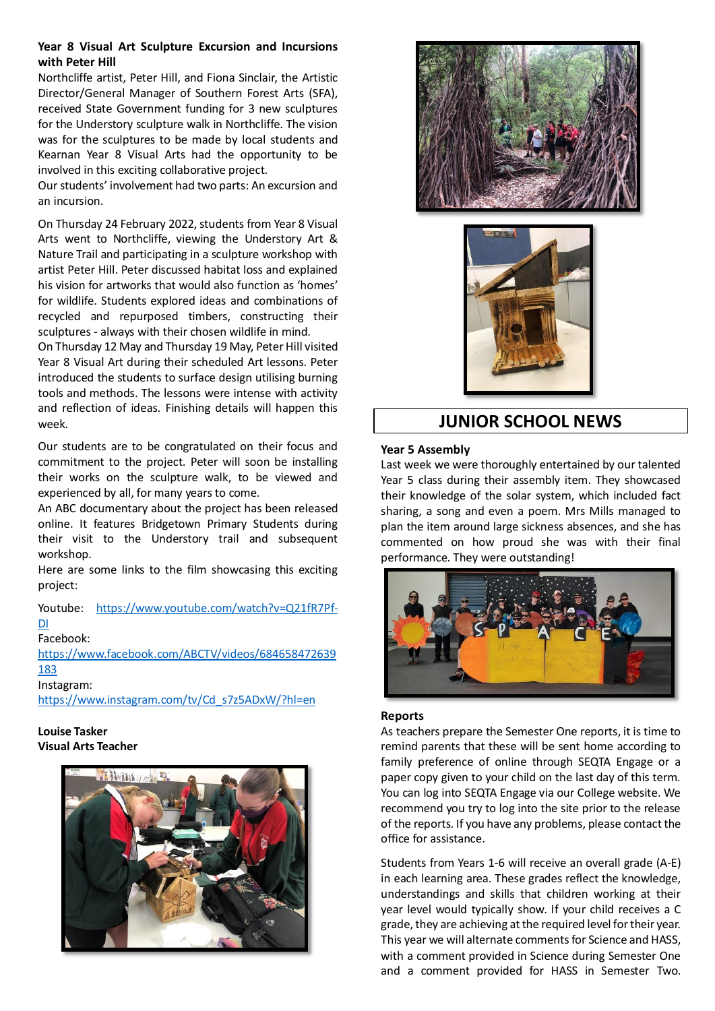#### **Year 8 Visual Art Sculpture Excursion and Incursions with Peter Hill**

Northcliffe artist, Peter Hill, and Fiona Sinclair, the Artistic Director/General Manager of Southern Forest Arts (SFA), received State Government funding for 3 new sculptures for the Understory sculpture walk in Northcliffe. The vision was for the sculptures to be made by local students and Kearnan Year 8 Visual Arts had the opportunity to be involved in this exciting collaborative project.

Our students' involvement had two parts: An excursion and an incursion.

On Thursday 24 February 2022, students from Year 8 Visual Arts went to Northcliffe, viewing the Understory Art & Nature Trail and participating in a sculpture workshop with artist Peter Hill. Peter discussed habitat loss and explained his vision for artworks that would also function as 'homes' for wildlife. Students explored ideas and combinations of recycled and repurposed timbers, constructing their sculptures - always with their chosen wildlife in mind.

On Thursday 12 May and Thursday 19 May, Peter Hill visited Year 8 Visual Art during their scheduled Art lessons. Peter introduced the students to surface design utilising burning tools and methods. The lessons were intense with activity and reflection of ideas. Finishing details will happen this week.

Our students are to be congratulated on their focus and commitment to the project. Peter will soon be installing their works on the sculpture walk, to be viewed and experienced by all, for many years to come.

An ABC documentary about the project has been released online. It features Bridgetown Primary Students during their visit to the Understory trail and subsequent workshop.

Here are some links to the film showcasing this exciting project:

Youtube: [https://www.youtube.com/watch?v=Q21fR7Pf-](https://www.youtube.com/watch?v=Q21fR7Pf-DI)[DI](https://www.youtube.com/watch?v=Q21fR7Pf-DI)

Facebook:

[https://www.facebook.com/ABCTV/videos/684658472639](https://www.facebook.com/ABCTV/videos/684658472639183) [183](https://www.facebook.com/ABCTV/videos/684658472639183)

Instagram:

[https://www.instagram.com/tv/Cd\\_s7z5ADxW/?hl=en](https://www.instagram.com/tv/Cd_s7z5ADxW/?hl=en)

**Louise Tasker Visual Arts Teacher**







# **JUNIOR SCHOOL NEWS**

#### **Year 5 Assembly**

Last week we were thoroughly entertained by our talented Year 5 class during their assembly item. They showcased their knowledge of the solar system, which included fact sharing, a song and even a poem. Mrs Mills managed to plan the item around large sickness absences, and she has commented on how proud she was with their final performance. They were outstanding!



#### **Reports**

As teachers prepare the Semester One reports, it is time to remind parents that these will be sent home according to family preference of online through SEQTA Engage or a paper copy given to your child on the last day of this term. You can log into SEQTA Engage via our College website. We recommend you try to log into the site prior to the release of the reports. If you have any problems, please contact the office for assistance.

Students from Years 1-6 will receive an overall grade (A-E) in each learning area. These grades reflect the knowledge, understandings and skills that children working at their year level would typically show. If your child receives a C grade, they are achieving at the required level for their year. This year we will alternate comments for Science and HASS, with a comment provided in Science during Semester One and a comment provided for HASS in Semester Two.